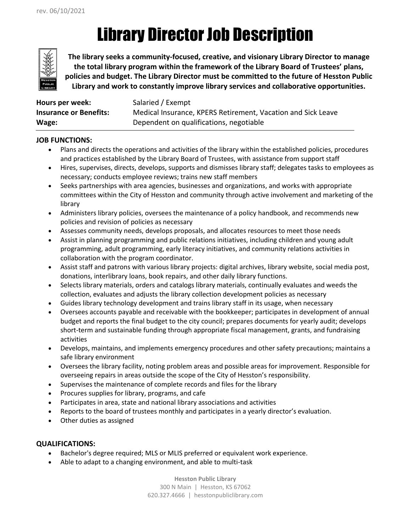# Library Director Job Description



**The library seeks a community-focused, creative, and visionary Library Director to manage the total library program within the framework of the Library Board of Trustees' plans, policies and budget. The Library Director must be committed to the future of Hesston Public Library and work to constantly improve library services and collaborative opportunities.** 

| Hours per week:               | Salaried / Exempt                                            |
|-------------------------------|--------------------------------------------------------------|
| <b>Insurance or Benefits:</b> | Medical Insurance, KPERS Retirement, Vacation and Sick Leave |
| Wage:                         | Dependent on qualifications, negotiable                      |

### **JOB FUNCTIONS:**

- Plans and directs the operations and activities of the library within the established policies, procedures and practices established by the Library Board of Trustees, with assistance from support staff
- Hires, supervises, directs, develops, supports and dismisses library staff; delegates tasks to employees as necessary; conducts employee reviews; trains new staff members
- Seeks partnerships with area agencies, businesses and organizations, and works with appropriate committees within the City of Hesston and community through active involvement and marketing of the library
- Administers library policies, oversees the maintenance of a policy handbook, and recommends new policies and revision of policies as necessary
- Assesses community needs, develops proposals, and allocates resources to meet those needs
- Assist in planning programming and public relations initiatives, including children and young adult programming, adult programming, early literacy initiatives, and community relations activities in collaboration with the program coordinator.
- Assist staff and patrons with various library projects: digital archives, library website, social media post, donations, interlibrary loans, book repairs, and other daily library functions.
- Selects library materials, orders and catalogs library materials, continually evaluates and weeds the collection, evaluates and adjusts the library collection development policies as necessary
- Guides library technology development and trains library staff in its usage, when necessary
- Oversees accounts payable and receivable with the bookkeeper; participates in development of annual budget and reports the final budget to the city council; prepares documents for yearly audit; develops short-term and sustainable funding through appropriate fiscal management, grants, and fundraising activities
- Develops, maintains, and implements emergency procedures and other safety precautions; maintains a safe library environment
- Oversees the library facility, noting problem areas and possible areas for improvement. Responsible for overseeing repairs in areas outside the scope of the City of Hesston's responsibility.
- Supervises the maintenance of complete records and files for the library
- Procures supplies for library, programs, and cafe
- Participates in area, state and national library associations and activities
- Reports to the board of trustees monthly and participates in a yearly director's evaluation.
- Other duties as assigned

### **QUALIFICATIONS:**

- Bachelor's degree required; MLS or MLIS preferred or equivalent work experience.
- Able to adapt to a changing environment, and able to multi-task

**Hesston Public Library** 300 N Main | Hesston, KS 67062 620.327.4666 | hesstonpubliclibrary.com